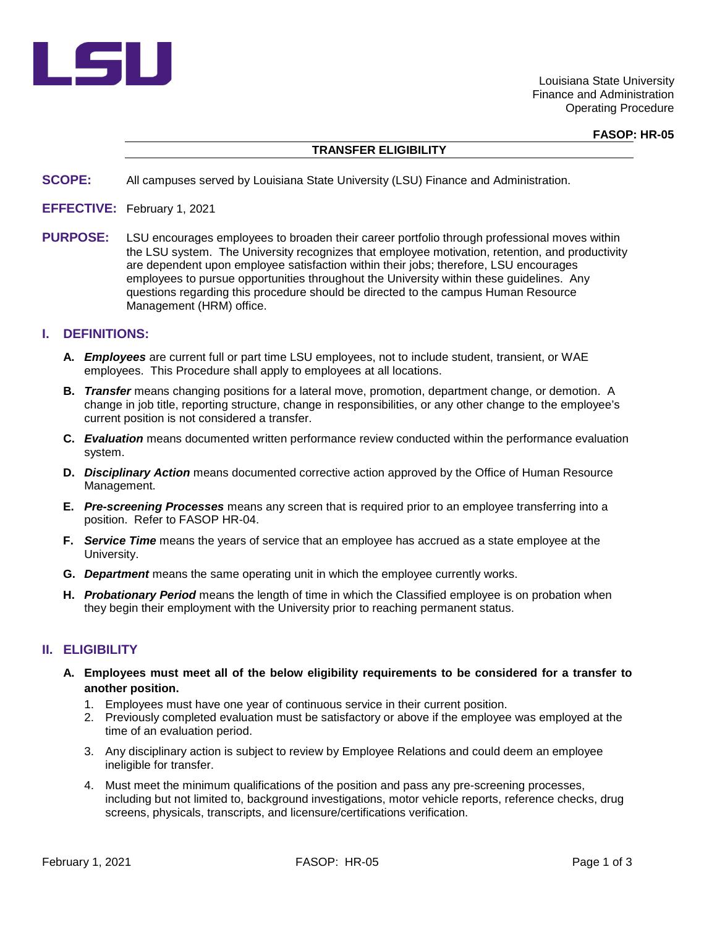

Louisiana State University Finance and Administration Operating Procedure

**FASOP: HR-05**

### **TRANSFER ELIGIBILITY**

- **SCOPE:** All campuses served by Louisiana State University (LSU) Finance and Administration.
- **EFFECTIVE:** February 1, 2021
- **PURPOSE:** LSU encourages employees to broaden their career portfolio through professional moves within the LSU system. The University recognizes that employee motivation, retention, and productivity are dependent upon employee satisfaction within their jobs; therefore, LSU encourages employees to pursue opportunities throughout the University within these guidelines. Any questions regarding this procedure should be directed to the campus Human Resource Management (HRM) office.

#### **I. DEFINITIONS:**

- **A.** *Employees* are current full or part time LSU employees, not to include student, transient, or WAE employees. This Procedure shall apply to employees at all locations.
- **B.** *Transfer* means changing positions for a lateral move, promotion, department change, or demotion. A change in job title, reporting structure, change in responsibilities, or any other change to the employee's current position is not considered a transfer.
- **C.** *Evaluation* means documented written performance review conducted within the performance evaluation system.
- **D.** *Disciplinary Action* means documented corrective action approved by the Office of Human Resource Management.
- **E.** *Pre-screening Processes* means any screen that is required prior to an employee transferring into a position. Refer to FASOP HR-04.
- **F.** *Service Time* means the years of service that an employee has accrued as a state employee at the University.
- **G.** *Department* means the same operating unit in which the employee currently works.
- **H.** *Probationary Period* means the length of time in which the Classified employee is on probation when they begin their employment with the University prior to reaching permanent status.

## **II. ELIGIBILITY**

- **A. Employees must meet all of the below eligibility requirements to be considered for a transfer to another position.**
	- 1. Employees must have one year of continuous service in their current position.
	- 2. Previously completed evaluation must be satisfactory or above if the employee was employed at the time of an evaluation period.
	- 3. Any disciplinary action is subject to review by Employee Relations and could deem an employee ineligible for transfer.
	- 4. Must meet the minimum qualifications of the position and pass any pre-screening processes, including but not limited to, background investigations, motor vehicle reports, reference checks, drug screens, physicals, transcripts, and licensure/certifications verification.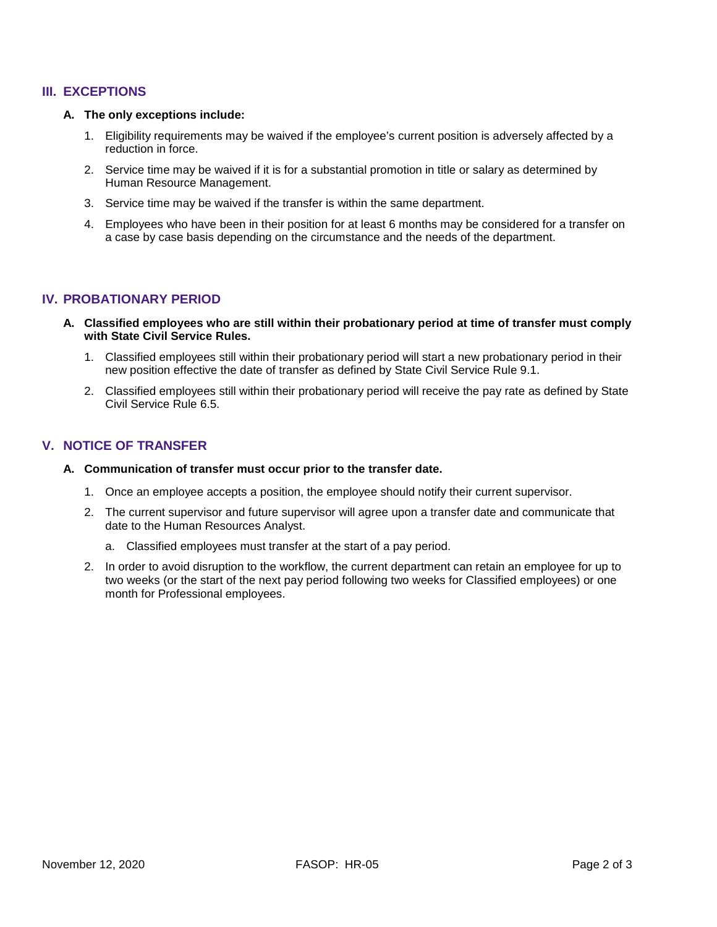## **III. EXCEPTIONS**

#### **A. The only exceptions include:**

- 1. Eligibility requirements may be waived if the employee's current position is adversely affected by a reduction in force.
- 2. Service time may be waived if it is for a substantial promotion in title or salary as determined by Human Resource Management.
- 3. Service time may be waived if the transfer is within the same department.
- 4. Employees who have been in their position for at least 6 months may be considered for a transfer on a case by case basis depending on the circumstance and the needs of the department.

## **IV. PROBATIONARY PERIOD**

- **A. Classified employees who are still within their probationary period at time of transfer must comply with State Civil Service Rules.**
	- 1. Classified employees still within their probationary period will start a new probationary period in their new position effective the date of transfer as defined by State Civil Service Rule 9.1.
	- 2. Classified employees still within their probationary period will receive the pay rate as defined by State Civil Service Rule 6.5.

## **V. NOTICE OF TRANSFER**

#### **A. Communication of transfer must occur prior to the transfer date.**

- 1. Once an employee accepts a position, the employee should notify their current supervisor.
- 2. The current supervisor and future supervisor will agree upon a transfer date and communicate that date to the Human Resources Analyst.
	- a. Classified employees must transfer at the start of a pay period.
- 2. In order to avoid disruption to the workflow, the current department can retain an employee for up to two weeks (or the start of the next pay period following two weeks for Classified employees) or one month for Professional employees.